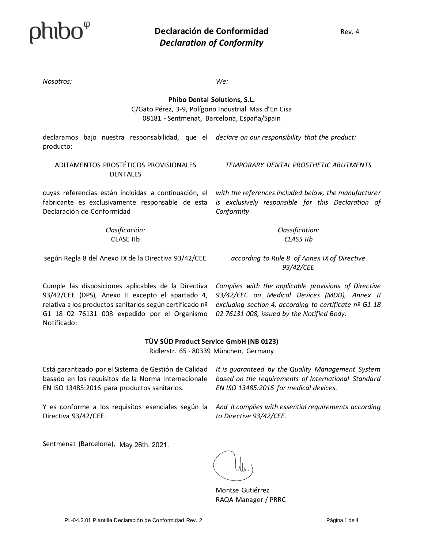*Nosotros: We:*

### **Phibo Dental Solutions, S.L.** C/Gato Pérez, 3-9, Polígono Industrial Mas d'En Cisa 08181 - Sentmenat, Barcelona, España/Spain

declaramos bajo nuestra responsabilidad, que el declare on our responsibility that the product: producto:

#### ADITAMENTOS PROSTÉTICOS PROVISIONALES DENTALES

*TEMPORARY DENTAL PROSTHETIC ABUTMENTS*

cuyas referencias están incluidas a continuación, el fabricante es exclusivamente responsable de esta Declaración de Conformidad

> *Clasificación:* CLASE IIb

*with the references included below, the manufacturer is exclusively responsible for this Declaration of Conformity*

> *Classification: CLASS IIb*

según Regla 8 del Anexo IX de la Directiva 93/42/CEE

*according to Rule 8 of Annex IX of Directive 93/42/CEE*

Cumple las disposiciones aplicables de la Directiva 93/42/CEE (DPS), Anexo II excepto el apartado 4, relativa a los productos sanitarios según certificado nº G1 18 02 76131 008 expedido por el Organismo Notificado:

*Complies with the applicable provisions of Directive 93/42/EEC on Medical Devices (MDD), Annex II excluding section 4, according to certificate nº G1 18 02 76131 008, issued by the Notified Body:*

#### **TÜV SÜD Product Service GmbH (NB 0123)**

Ridlerstr. 65 · 80339 München, Germany

Está garantizado por el Sistema de Gestión de Calidad basado en los requisitos de la Norma Internacionale EN ISO 13485:2016 para productos sanitarios.

Y es conforme a los requisitos esenciales según la Directiva 93/42/CEE.

*It is guaranteed by the Quality Management System based on the requirements of International Standard EN ISO 13485:2016 for medical devices.*

*And it complies with essential requirements according to Directive 93/42/CEE.*

Sentmenat (Barcelona), May 26th, 2021.

Montse Gutiérrez RAQA Manager / PRRC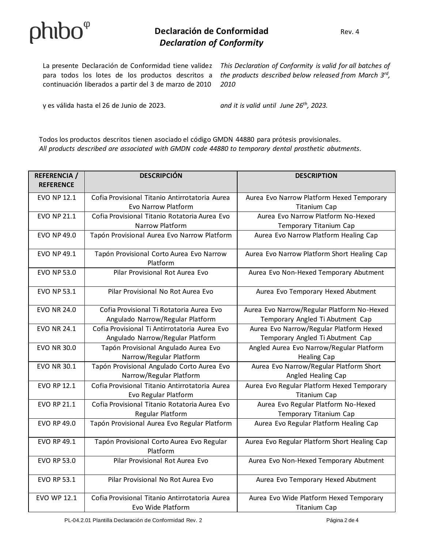### **Declaración de Conformidad** Rev. 4 *Declaration of Conformity*

continuación liberados a partir del 3 de marzo de 2010

La presente Declaración de Conformidad tiene validez This Declaration of Conformity is valid for all batches of para todos los lotes de los productos descritos a the products described below released from March 3<sup>rd</sup>, *2010*

y es válida hasta el 26 de Junio de 2023. *and it is valid until June 26th, 2023.*

Todos los productos descritos tienen asociado el código GMDN 44880 para prótesis provisionales. *All products described are associated with GMDN code 44880 to temporary dental prosthetic abutments.*

| <b>REFERENCIA /</b> | <b>DESCRIPCIÓN</b>                                                     | <b>DESCRIPTION</b>                                         |
|---------------------|------------------------------------------------------------------------|------------------------------------------------------------|
| <b>REFERENCE</b>    |                                                                        |                                                            |
| <b>EVO NP 12.1</b>  | Cofia Provisional Titanio Antirrotatoria Aurea                         | Aurea Evo Narrow Platform Hexed Temporary                  |
|                     | Evo Narrow Platform                                                    | <b>Titanium Cap</b>                                        |
| <b>EVO NP 21.1</b>  | Cofia Provisional Titanio Rotatoria Aurea Evo                          | Aurea Evo Narrow Platform No-Hexed                         |
|                     | Narrow Platform                                                        | Temporary Titanium Cap                                     |
| <b>EVO NP 49.0</b>  | Tapón Provisional Aurea Evo Narrow Platform                            | Aurea Evo Narrow Platform Healing Cap                      |
| <b>EVO NP 49.1</b>  | Tapón Provisional Corto Aurea Evo Narrow<br>Platform                   | Aurea Evo Narrow Platform Short Healing Cap                |
| <b>EVO NP 53.0</b>  | Pilar Provisional Rot Aurea Evo                                        | Aurea Evo Non-Hexed Temporary Abutment                     |
| <b>EVO NP 53.1</b>  | Pilar Provisional No Rot Aurea Evo                                     | Aurea Evo Temporary Hexed Abutment                         |
| <b>EVO NR 24.0</b>  | Cofia Provisional Ti Rotatoria Aurea Evo                               | Aurea Evo Narrow/Regular Platform No-Hexed                 |
|                     | Angulado Narrow/Regular Platform                                       | Temporary Angled Ti Abutment Cap                           |
| <b>EVO NR 24.1</b>  | Cofia Provisional Ti Antirrotatoria Aurea Evo                          | Aurea Evo Narrow/Regular Platform Hexed                    |
|                     | Angulado Narrow/Regular Platform                                       | Temporary Angled Ti Abutment Cap                           |
| <b>EVO NR 30.0</b>  | Tapón Provisional Angulado Aurea Evo                                   | Angled Aurea Evo Narrow/Regular Platform                   |
|                     | Narrow/Regular Platform                                                | <b>Healing Cap</b>                                         |
| <b>EVO NR 30.1</b>  | Tapón Provisional Angulado Corto Aurea Evo                             | Aurea Evo Narrow/Regular Platform Short                    |
|                     | Narrow/Regular Platform                                                | Angled Healing Cap                                         |
| EVO RP 12.1         | Cofia Provisional Titanio Antirrotatoria Aurea<br>Evo Regular Platform | Aurea Evo Regular Platform Hexed Temporary<br>Titanium Cap |
| <b>EVO RP 21.1</b>  | Cofia Provisional Titanio Rotatoria Aurea Evo                          | Aurea Evo Regular Platform No-Hexed                        |
|                     | Regular Platform                                                       | Temporary Titanium Cap                                     |
| <b>EVO RP 49.0</b>  | Tapón Provisional Aurea Evo Regular Platform                           | Aurea Evo Regular Platform Healing Cap                     |
| <b>EVO RP 49.1</b>  | Tapón Provisional Corto Aurea Evo Regular<br>Platform                  | Aurea Evo Regular Platform Short Healing Cap               |
| <b>EVO RP 53.0</b>  | Pilar Provisional Rot Aurea Evo                                        | Aurea Evo Non-Hexed Temporary Abutment                     |
| <b>EVO RP 53.1</b>  | Pilar Provisional No Rot Aurea Evo                                     | Aurea Evo Temporary Hexed Abutment                         |
| EVO WP 12.1         | Cofia Provisional Titanio Antirrotatoria Aurea                         | Aurea Evo Wide Platform Hexed Temporary                    |
|                     | Evo Wide Platform                                                      | <b>Titanium Cap</b>                                        |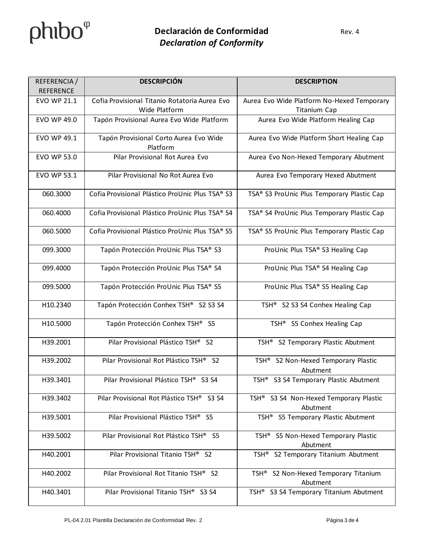# $phibo^{\varphi}$

| REFERENCIA /<br><b>REFERENCE</b> | <b>DESCRIPCIÓN</b>                                             | <b>DESCRIPTION</b>                                                |
|----------------------------------|----------------------------------------------------------------|-------------------------------------------------------------------|
| <b>EVO WP 21.1</b>               | Cofia Provisional Titanio Rotatoria Aurea Evo<br>Wide Platform | Aurea Evo Wide Platform No-Hexed Temporary<br><b>Titanium Cap</b> |
| <b>EVO WP 49.0</b>               | Tapón Provisional Aurea Evo Wide Platform                      | Aurea Evo Wide Platform Healing Cap                               |
| EVO WP 49.1                      | Tapón Provisional Corto Aurea Evo Wide<br>Platform             | Aurea Evo Wide Platform Short Healing Cap                         |
| EVO WP 53.0                      | Pilar Provisional Rot Aurea Evo                                | Aurea Evo Non-Hexed Temporary Abutment                            |
| <b>EVO WP 53.1</b>               | Pilar Provisional No Rot Aurea Evo                             | Aurea Evo Temporary Hexed Abutment                                |
| 060.3000                         | Cofia Provisional Plástico ProUnic Plus TSA® S3                | TSA® S3 ProUnic Plus Temporary Plastic Cap                        |
| 060.4000                         | Cofia Provisional Plástico ProUnic Plus TSA® S4                | TSA® S4 ProUnic Plus Temporary Plastic Cap                        |
| 060.5000                         | Cofia Provisional Plástico ProUnic Plus TSA® S5                | TSA® S5 ProUnic Plus Temporary Plastic Cap                        |
| 099.3000                         | Tapón Protección ProUnic Plus TSA® S3                          | ProUnic Plus TSA® S3 Healing Cap                                  |
| 099.4000                         | Tapón Protección ProUnic Plus TSA® S4                          | ProUnic Plus TSA® S4 Healing Cap                                  |
| 099.5000                         | Tapón Protección ProUnic Plus TSA® S5                          | ProUnic Plus TSA® S5 Healing Cap                                  |
| H10.2340                         | Tapón Protección Conhex TSH® S2 S3 S4                          | TSH <sup>®</sup> S2 S3 S4 Conhex Healing Cap                      |
| H10.5000                         | Tapón Protección Conhex TSH® S5                                | TSH <sup>®</sup> S5 Conhex Healing Cap                            |
| H39.2001                         | Pilar Provisional Plástico TSH® S2                             | TSH <sup>®</sup> S2 Temporary Plastic Abutment                    |
| H39.2002                         | Pilar Provisional Rot Plástico TSH® S2                         | TSH <sup>®</sup> S2 Non-Hexed Temporary Plastic<br>Abutment       |
| H39.3401                         | Pilar Provisional Plástico TSH® S3 S4                          | TSH <sup>®</sup> S3 S4 Temporary Plastic Abutment                 |
| H39.3402                         | Pilar Provisional Rot Plástico TSH® S3 S4                      | TSH <sup>®</sup> S3 S4 Non-Hexed Temporary Plastic<br>Abutment    |
| H39.5001                         | Pilar Provisional Plástico TSH® S5                             | TSH <sup>®</sup> S5 Temporary Plastic Abutment                    |
| H39.5002                         | Pilar Provisional Rot Plástico TSH®<br>S <sub>5</sub>          | TSH <sup>®</sup> S5 Non-Hexed Temporary Plastic<br>Abutment       |
| H40.2001                         | Pilar Provisional Titanio TSH® S2                              | S2 Temporary Titanium Abutment<br>TSH®                            |
| H40.2002                         | Pilar Provisional Rot Titanio TSH® S2                          | S2 Non-Hexed Temporary Titanium<br>TSH®<br>Abutment               |
| H40.3401                         | Pilar Provisional Titanio TSH® S3 S4                           | TSH <sup>®</sup> S3 S4 Temporary Titanium Abutment                |